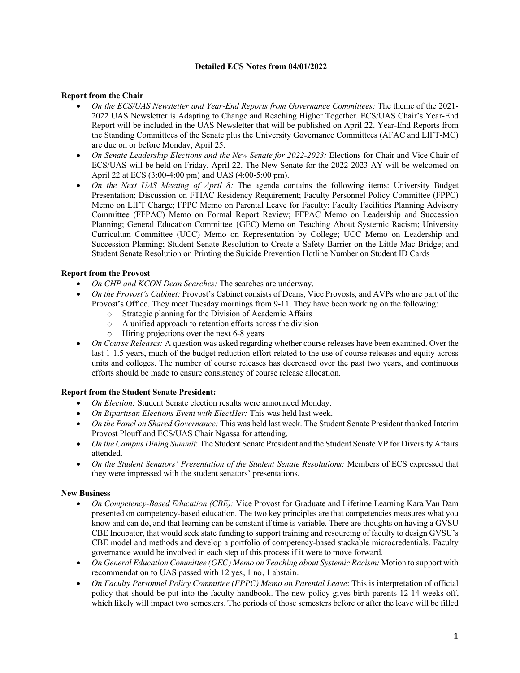# **Detailed ECS Notes from 04/01/2022**

## **Report from the Chair**

- *On the ECS/UAS Newsletter and Year-End Reports from Governance Committees:* The theme of the 2021- 2022 UAS Newsletter is Adapting to Change and Reaching Higher Together. ECS/UAS Chair's Year-End Report will be included in the UAS Newsletter that will be published on April 22. Year-End Reports from the Standing Committees of the Senate plus the University Governance Committees (AFAC and LIFT-MC) are due on or before Monday, April 25.
- *On Senate Leadership Elections and the New Senate for 2022-2023:* Elections for Chair and Vice Chair of ECS/UAS will be held on Friday, April 22. The New Senate for the 2022-2023 AY will be welcomed on April 22 at ECS (3:00-4:00 pm) and UAS (4:00-5:00 pm).
- *On the Next UAS Meeting of April 8:* The agenda contains the following items: University Budget Presentation; Discussion on FTIAC Residency Requirement; Faculty Personnel Policy Committee (FPPC) Memo on LIFT Charge; FPPC Memo on Parental Leave for Faculty; Faculty Facilities Planning Advisory Committee (FFPAC) Memo on Formal Report Review; FFPAC Memo on Leadership and Succession Planning; General Education Committee {GEC) Memo on Teaching About Systemic Racism; University Curriculum Committee (UCC) Memo on Representation by College; UCC Memo on Leadership and Succession Planning; Student Senate Resolution to Create a Safety Barrier on the Little Mac Bridge; and Student Senate Resolution on Printing the Suicide Prevention Hotline Number on Student ID Cards

### **Report from the Provost**

- *On CHP and KCON Dean Searches:* The searches are underway.
- *On the Provost's Cabinet:* Provost's Cabinet consists of Deans, Vice Provosts, and AVPs who are part of the Provost's Office. They meet Tuesday mornings from 9-11. They have been working on the following:
	- o Strategic planning for the Division of Academic Affairs
	- o A unified approach to retention efforts across the division
	- o Hiring projections over the next 6-8 years
- *On Course Releases:* A question was asked regarding whether course releases have been examined. Over the last 1-1.5 years, much of the budget reduction effort related to the use of course releases and equity across units and colleges. The number of course releases has decreased over the past two years, and continuous efforts should be made to ensure consistency of course release allocation.

### **Report from the Student Senate President:**

- *On Election:* Student Senate election results were announced Monday.
- *On Bipartisan Elections Event with ElectHer:* This was held last week.
- *On the Panel on Shared Governance:* This was held last week. The Student Senate President thanked Interim Provost Plouff and ECS/UAS Chair Ngassa for attending.
- *On the Campus Dining Summit*: The Student Senate President and the Student Senate VP for Diversity Affairs attended.
- *On the Student Senators' Presentation of the Student Senate Resolutions:* Members of ECS expressed that they were impressed with the student senators' presentations.

### **New Business**

- *On Competency-Based Education (CBE):* Vice Provost for Graduate and Lifetime Learning Kara Van Dam presented on competency-based education. The two key principles are that competencies measures what you know and can do, and that learning can be constant if time is variable. There are thoughts on having a GVSU CBE Incubator, that would seek state funding to support training and resourcing of faculty to design GVSU's CBE model and methods and develop a portfolio of competency-based stackable microcredentials. Faculty governance would be involved in each step of this process if it were to move forward.
- *On General Education Committee (GEC) Memo on Teaching about Systemic Racism:* Motion to support with recommendation to UAS passed with 12 yes, 1 no, 1 abstain.
- *On Faculty Personnel Policy Committee (FPPC) Memo on Parental Leave*: This is interpretation of official policy that should be put into the faculty handbook. The new policy gives birth parents 12-14 weeks off, which likely will impact two semesters. The periods of those semesters before or after the leave will be filled